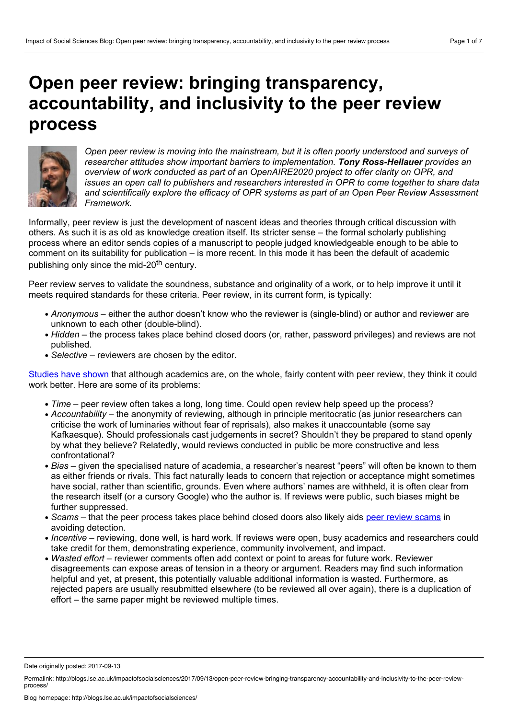# **Open peer review: bringing transparency, accountability, and inclusivity to the peer review process**



*Open peer review is moving into the mainstream, but it is often poorly understood and surveys of researcher attitudes show important barriers to implementation. Tony Ross-Hellauer provides an overview of work conducted as part of an OpenAIRE2020 project to offer clarity on OPR, and issues an open call to publishers and researchers interested in OPR to come together to share data and scientifically explore the efficacy of OPR systems as part of an Open Peer Review Assessment Framework.*

Informally, peer review is just the development of nascent ideas and theories through critical discussion with others. As such it is as old as knowledge creation itself. Its stricter sense – the formal scholarly publishing process where an editor sends copies of a manuscript to people judged knowledgeable enough to be able to comment on its suitability for publication – is more recent. In this mode it has been the default of academic publishing only since the mid-20<sup>th</sup> century.

Peer review serves to validate the soundness, substance and originality of a work, or to help improve it until it meets required standards for these criteria. Peer review, in its current form, is typically:

- *Anonymous* either the author doesn't know who the reviewer is (single-blind) or author and reviewer are unknown to each other (double-blind).
- *Hidden* the process takes place behind closed doors (or, rather, password privileges) and reviews are not published.
- *Selective* reviewers are chosen by the editor.

[Studies](http://www.publishingresearch.org.uk/documents/PRCsummary4Warefinal.pdf) [have](http://dx.doi.org/10.1087/20150104) [shown](http://editorsupdate.elsevier.com/issue-45-november-2014/researchers-think-peer-review-process/) that although academics are, on the whole, fairly content with peer review, they think it could work better. Here are some of its problems:

- *Time* peer review often takes a long, long time. Could open review help speed up the process?
- *Accountability* the anonymity of reviewing, although in principle meritocratic (as junior researchers can criticise the work of luminaries without fear of reprisals), also makes it unaccountable (some say Kafkaesque). Should professionals cast judgements in secret? Shouldn't they be prepared to stand openly by what they believe? Relatedly, would reviews conducted in public be more constructive and less confrontational?
- *Bias* given the specialised nature of academia, a researcher's nearest "peers" will often be known to them as either friends or rivals. This fact naturally leads to concern that rejection or acceptance might sometimes have social, rather than scientific, grounds. Even where authors' names are withheld, it is often clear from the research itself (or a cursory Google) who the author is. If reviews were public, such biases might be further suppressed.
- *Scams* that the peer process takes place behind closed doors also likely aids peer [review](http://retractionwatch.com/2014/11/26/the-peer-review-scam-how-authors-are-reviewing-their-own-papers/) scams in avoiding detection.
- *Incentive* reviewing, done well, is hard work. If reviews were open, busy academics and researchers could take credit for them, demonstrating experience, community involvement, and impact.
- *Wasted effort* reviewer comments often add context or point to areas for future work. Reviewer disagreements can expose areas of tension in a theory or argument. Readers may find such information helpful and yet, at present, this potentially valuable additional information is wasted. Furthermore, as rejected papers are usually resubmitted elsewhere (to be reviewed all overagain), there is a duplication of effort – the same paper might be reviewed multiple times.

Date originally posted: 2017-09-13

Permalink: http://blogs.lse.ac.uk/impactofsocialsciences/2017/09/13/open-peer-review-bringing-transparency-accountability-and-inclusivity-to-the-peer-review-<br>process/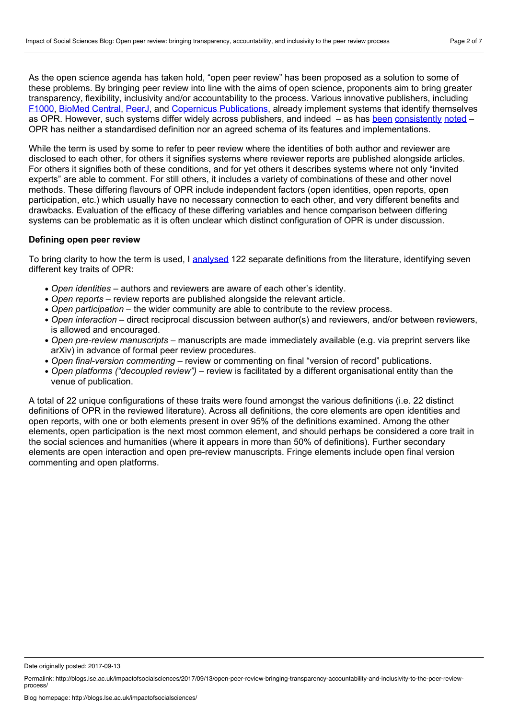As the open science agenda has taken hold, "open peer review" has been proposed as a solution to some of these problems. By bringing peer review into line with the aims of open science, proponents aim to bring greater transparency, flexibility, inclusivity and/or accountability to the process. Various innovative publishers, including [F1000](https://f1000research.com/), [BioMed](https://www.biomedcentral.com/) Central, [PeerJ,](https://peerj.com/) and Copernicus [Publications,](https://publications.copernicus.org/) already implement systems that identify themselves as OPR. However, such systems differ widely across publishers, and indeed – as has [been](http://pdxscholar.library.pdx.edu/ulib_fac/1/) [consistently](https://www.escienceediting.org/journal/view.php?doi=10.6087/kcse.2014.1.9) [noted](http://www.tandfonline.com/doi/abs/10.1080/13614576.2011.566812) – OPR has neither a standardised definition nor an agreed schema of its features and implementations.

While the term is used by some to refer to peer review where the identities of both author and reviewer are disclosed to each other, for others it signifies systems where reviewer reports are published alongside articles. For others it signifies both of these conditions, and for yet others it describes systems where not only "invited experts" are able to comment. For still others, it includes a variety of combinations of these and other novel methods. These differing flavours of OPR include independent factors (open identities, open reports, open participation, etc.) which usually have no necessary connection to each other, and very different benefits and drawbacks. Evaluation of the efficacy of these differing variables and hence comparison between differing systems can be problematic as it is often unclear which distinct configuration of OPR is under discussion.

#### **Defining open peer review**

To bring clarity to how the term is used, I [analysed](https://f1000research.com/articles/6-588/v2) 122 separate definitions from the literature, identifying seven different key traits of OPR:

- *Open identities* authors and reviewers are aware of each other's identity.
- *Open reports* review reports are published alongside the relevant article.
- *Open participation* the wider community are able to contribute to the review process.
- *Open interaction* direct reciprocal discussion between author(s) and reviewers, and/or between reviewers, is allowed and encouraged.
- *Open pre-review manuscripts* manuscripts are made immediately available (e.g. via preprint servers like arXiv) in advance of formal peer review procedures.
- *Open final-version commenting* review or commenting on final "version of record" publications.
- *Open platforms ("decoupled review")* review is facilitated by a different organisational entity than the venue of publication.

A total of 22 unique configurations of these traits were found amongst the various definitions (i.e. 22 distinct definitions of OPR in the reviewed literature). Across all definitions, the core elements are open identities and open reports, with one or both elements present in over 95% of the definitions examined. Among the other elements, open participation is the next most common element, and should perhaps be considered a core trait in the social sciences and humanities (where it appears in more than 50% of definitions). Further secondary elements are open interaction and open pre-review manuscripts. Fringe elements include open final version commenting and open platforms.

Date originally posted: 2017-09-13

Permalink: http://blogs.lse.ac.uk/impactofsocialsciences/2017/09/13/open-peer-review-bringing-transparency-accountability-and-inclusivity-to-the-peer-review-<br>process/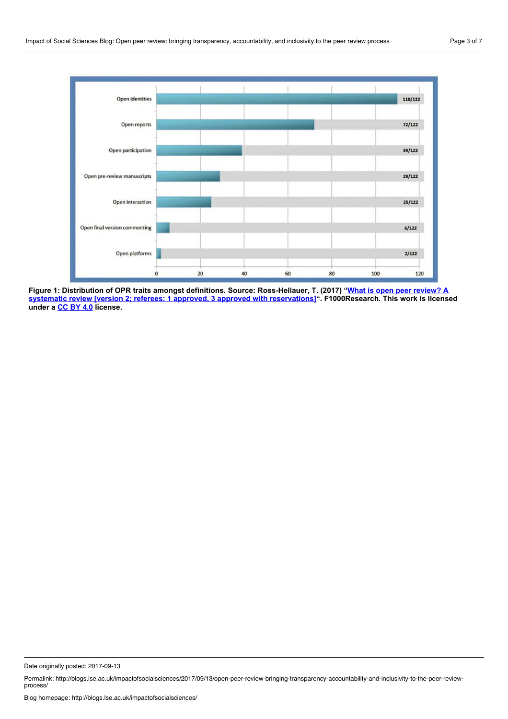

Figure 1: Distribution of OPR traits amongst definitions. Source: Ross-Hellauer, T. (2017) "What is open peer review? A systematic review [version 2; referees: 1 approved, 3 approved with reservations]". [F1000Research.](https://f1000research.com/articles/6-588/v2) This work is licensed **under a [CC](https://creativecommons.org/licenses/by/4.0/) BY 4.0 license.**

Date originally posted: 2017-09-13

Permalink: http://blogs.lse.ac.uk/impactofsocialsciences/2017/09/13/open-peer-review-bringing-transparency-accountability-and-inclusivity-to-the-peer-review-<br>process/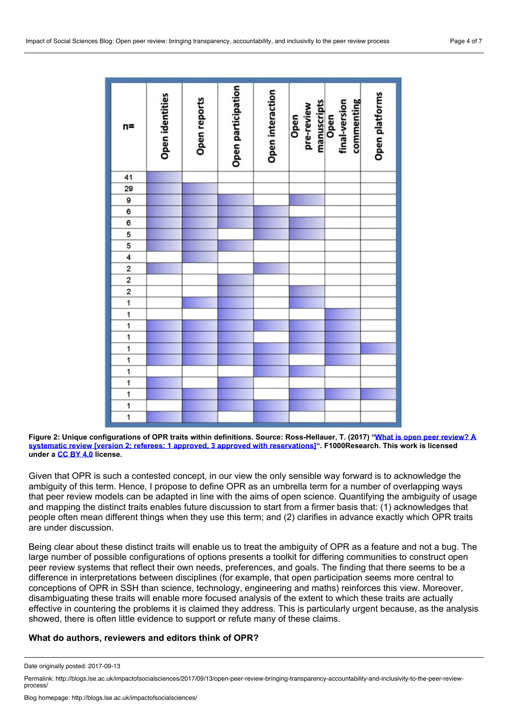| n=                                  | Open identities | Open reports | Open participation | Open interaction | pre-review<br>Open | commenting<br>manuscripts<br>Open<br>final-version | Open platforms |
|-------------------------------------|-----------------|--------------|--------------------|------------------|--------------------|----------------------------------------------------|----------------|
| 41                                  |                 |              |                    |                  |                    |                                                    |                |
| 29                                  |                 |              |                    |                  |                    |                                                    |                |
| $\frac{9}{6}$                       |                 |              |                    |                  |                    |                                                    |                |
|                                     |                 |              |                    |                  |                    |                                                    |                |
|                                     |                 |              |                    |                  |                    |                                                    |                |
|                                     |                 |              |                    |                  |                    |                                                    |                |
|                                     |                 |              |                    |                  |                    |                                                    |                |
|                                     |                 |              |                    |                  |                    |                                                    |                |
| $\frac{6}{5}$ 5 $\frac{4}{2}$ 2 2 1 |                 |              |                    |                  |                    |                                                    |                |
|                                     |                 |              |                    |                  |                    |                                                    |                |
|                                     |                 |              |                    |                  |                    |                                                    |                |
|                                     |                 |              |                    |                  |                    |                                                    |                |
| $\frac{1}{1}$                       |                 |              |                    |                  |                    |                                                    |                |
|                                     |                 |              |                    |                  |                    |                                                    |                |
| 1                                   |                 |              |                    |                  |                    |                                                    |                |
| $\frac{1}{1}$                       |                 |              |                    |                  |                    |                                                    |                |
|                                     |                 |              |                    |                  |                    |                                                    |                |
| 1                                   |                 |              |                    |                  |                    |                                                    |                |
| $\overline{\mathbf{1}}$             |                 |              |                    |                  |                    |                                                    |                |
| $\overline{\mathbf{1}}$             |                 |              |                    |                  |                    |                                                    |                |
| $\overline{\mathbf{1}}$             |                 |              |                    |                  |                    |                                                    |                |
| 1                                   |                 |              |                    |                  |                    |                                                    |                |

Figure 2: Unique configurations of OPR traits within definitions. Source: Ross-Hellauer, T. (2017) "What is open peer review? A systematic review [version 2; referees: 1 approved, 3 approved with reservations]". [F1000Research.](https://f1000research.com/articles/6-588/v2) This work is licensed **under a [CC](https://creativecommons.org/licenses/by/4.0/) BY 4.0 license.**

Given that OPR is such a contested concept, in our view the only sensible way forward is to acknowledge the ambiguity of this term. Hence, I propose to define OPR as an umbrella term for a number of overlapping ways that peer review models can be adapted in line with the aims of open science. Quantifying the ambiguity of usage and mapping the distinct traits enables future discussion to start from a firmer basis that: (1) acknowledges that people often mean different things when they use this term; and (2) clarifies in advance exactly which OPR traits are under discussion.

Being clear about these distinct traits will enable us to treat the ambiguity of OPR as a feature and not a bug. The large number of possible configurations of options presents a toolkit for differing communities to construct open peer review systems that reflect their own needs, preferences, and goals. The finding that there seems to be a difference in interpretations between disciplines (for example, that open participation seems more central to conceptions of OPR in SSH than science, technology, engineering and maths) reinforces this view. Moreover, disambiguating these traits will enable more focused analysis of the extent to which these traits are actually effective in countering the problems it is claimed they address. This is particularly urgent because, as the analysis showed, there is often little evidence to support or refute many of these claims.

# **What do authors, reviewers and editors think of OPR?**

Date originally posted: 2017-09-13

Permalink: http://blogs.lse.ac.uk/impactofsocialsciences/2017/09/13/open-peer-review-bringing-transparency-accountability-and-inclusivity-to-the-peer-review-<br>process/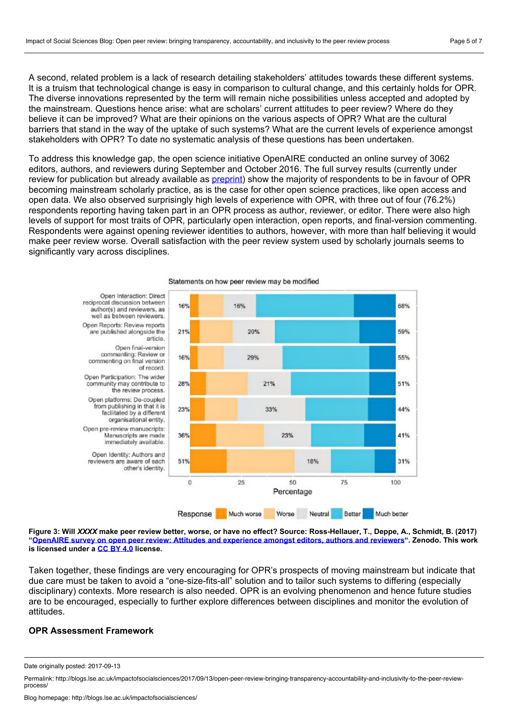A second, related problem is a lack of research detailing stakeholders' attitudes towards these different systems. It is a truism that technological change is easy in comparison to cultural change, and this certainly holds for OPR. The diverse innovations represented by the term will remain niche possibilities unless accepted and adopted by the mainstream. Questions hence arise: what are scholars' current attitudes to peer review? Where do they believe it can be improved? What are their opinions on the various aspects of OPR? What are the cultural barriers that stand in the way of the uptake of such systems? What are the current levels of experience amongst stakeholders with OPR? To date no systematic analysis of these questions has been undertaken.

To address this knowledge gap, the open science initiative OpenAIRE conducted an online survey of3062 editors, authors, and reviewers during September and October 2016. The full survey results (currently under review for publication but already available as [preprint\)](http://zenodo.org/record/570864) show the majority of respondents to be in favour of OPR becoming mainstream scholarly practice, as is the case for other open science practices, like open access and open data. We also observed surprisingly high levels of experience with OPR, with three out of four (76.2%) respondents reporting having taken part in an OPR process as author, reviewer, or editor. There were also high levels of support for most traits of OPR, particularly open interaction, open reports, and final-version commenting. Respondents were against opening reviewer identities to authors, however, with more than half believing it would make peer review worse. Overall satisfaction with the peer review system used by scholarly journals seems to significantly vary across disciplines.



Figure 3: Will XXXX make peer review better, worse, or have no effect? Source: Ross-Hellauer, T., Deppe, A., Schmidt, B. (2017) "OpenAIRE survey on open peer review: Attitudes and [experience](https://zenodo.org/record/570864#.WbaQ1bKGPGg) amongst editors, authors and reviewers". Zenodo. This work

**is licensed under a [CC](https://creativecommons.org/licenses/by/4.0/) BY 4.0 license.**

Taken together, these findings are very encouraging for OPR's prospects of moving mainstream but indicate that due care must be taken to avoid a "one-size-fits-all" solution and to tailor such systems to differing (especially disciplinary) contexts. More research is also needed. OPR is an evolving phenomenon and hence future studies are to be encouraged, especially to further explore differences between disciplines and monitor the evolution of attitudes.

#### **OPR Assessment Framework**

Date originally posted: 2017-09-13

Permalink: http://blogs.lse.ac.uk/impactofsocialsciences/2017/09/13/open-peer-review-bringing-transparency-accountability-and-inclusivity-to-the-peer-review-<br>process/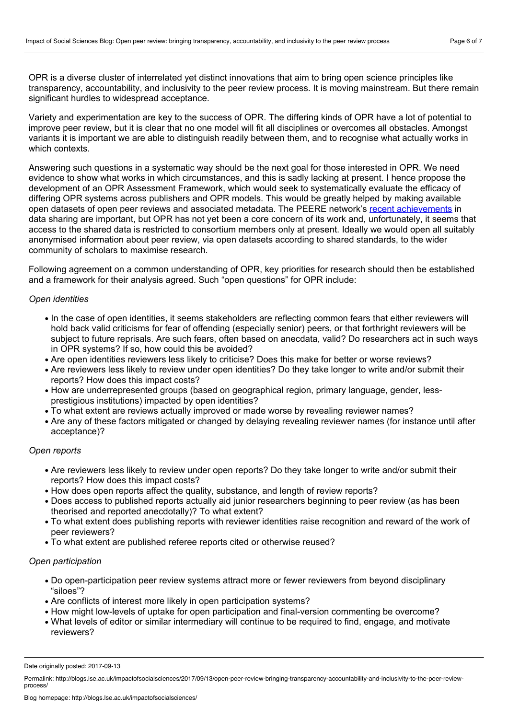OPR is a diverse cluster of interrelated yet distinct innovations that aim to bring open science principles like transparency, accountability, and inclusivity to the peer review process. It is moving mainstream. But there remain significant hurdles to widespread acceptance.

Variety and experimentation are key to the success of OPR. The differing kinds of OPR have a lot of potential to improve peer review, but it is clear that no one model will fit all disciplines or overcomes all obstacles. Amongst variants it is important we are able to distinguish readily between them, and to recognise what actually works in which contexts.<br>Answering such questions in a systematic way should be the next goal for those interested in OPR. We need

evidence to show what works in which circumstances, and this is sadly lacking at present. I hence propose the development of an OPR Assessment Framework, which would seek to systematically evaluate the efficacy of differing OPR systems across publishers and OPR models. This would be greatly helped by making available open datasets of open peer reviews and associated metadata. The PEERE network's recent [achievements](http://www.peere.org/2016/12/30/the-peere-data-sharing-protocol/) in data sharing are important, but OPR has not yet been a core concern of its work and, unfortunately, it seems that access to the shared data is restricted to consortium members only at present. Ideally we would open all suitably anonymised information about peer review, via open datasets according to shared standards, to the wider community of scholars to maximise research.

Following agreement on a common understanding of OPR, key priorities for research should then be established and a framework for their analysis agreed. Such "open questions" for OPR include:

#### *Open identities*

- In the case of open identities, it seems stakeholders are reflecting common fears that either reviewers will hold back valid criticisms for fear of offending (especially senior) peers, or that forthright reviewers will be subject to future reprisals. Are such fears, often based on anecdata, valid? Do researchers act in such ways in OPR systems? If so, how could this be avoided?
- Are open identities reviewers less likely to criticise? Does this make for better or worse reviews?
- Are reviewers less likely to review under open identities? Do they take longer to write and/or submit their reports? How does this impact costs?
- How are underrepresented groups (based on geographical region, primary language, gender, less prestigious institutions) impacted by open identities?
- To what extent are reviews actually improved or made worse by revealing reviewer names?
- Are any of these factors mitigated or changed by delaying revealing reviewer names (for instance until after acceptance)?

#### *Open reports*

- Are reviewers less likely to review under open reports? Do they take longer to write and/or submit their reports? How does this impact costs?
- How does open reports affect the quality, substance, and length of review reports?
- Does access to published reports actually aid junior researchers beginning to peer review (as has been theorised and reported anecdotally)? To what extent?
- To what extent does publishing reports with reviewer identities raise recognition and reward of the work of peer reviewers?
- To what extent are published referee reports cited or otherwise reused?

#### *Open participation*

- Do open-participation peer review systems attract more or fewer reviewers from beyond disciplinary "siloes"?
- Are conflicts of interest more likely in open participation systems?
- How might low-levels of uptake for open participation and final-version commenting be overcome?
- What levels of editor or similar intermediary will continue to be required to find, engage, and motivate reviewers?

Date originally posted: 2017-09-13

Permalink: http://blogs.lse.ac.uk/impactofsocialsciences/2017/09/13/open-peer-review-bringing-transparency-accountability-and-inclusivity-to-the-peer-review-<br>process/